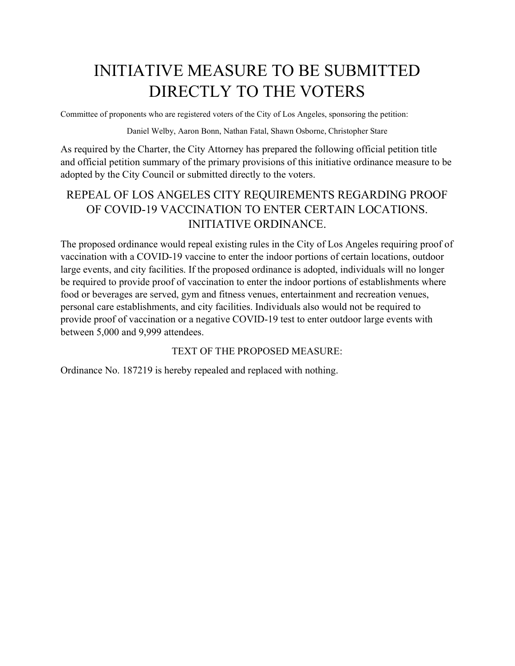# INITIATIVE MEASURE TO BE SUBMITTED DIRECTLY TO THE VOTERS

Committee of proponents who are registered voters of the City of Los Angeles, sponsoring the petition:

Daniel Welby, Aaron Bonn, Nathan Fatal, Shawn Osborne, Christopher Stare

As required by the Charter, the City Attorney has prepared the following official petition title and official petition summary of the primary provisions of this initiative ordinance measure to be adopted by the City Council or submitted directly to the voters.

## REPEAL OF LOS ANGELES CITY REQUIREMENTS REGARDING PROOF OF COVID-19 VACCINATION TO ENTER CERTAIN LOCATIONS. INITIATIVE ORDINANCE.

The proposed ordinance would repeal existing rules in the City of Los Angeles requiring proof of vaccination with a COVID-19 vaccine to enter the indoor portions of certain locations, outdoor large events, and city facilities. If the proposed ordinance is adopted, individuals will no longer be required to provide proof of vaccination to enter the indoor portions of establishments where food or beverages are served, gym and fitness venues, entertainment and recreation venues, personal care establishments, and city facilities. Individuals also would not be required to provide proof of vaccination or a negative COVID-19 test to enter outdoor large events with between 5,000 and 9,999 attendees.

### TEXT OF THE PROPOSED MEASURE:

Ordinance No. 187219 is hereby repealed and replaced with nothing.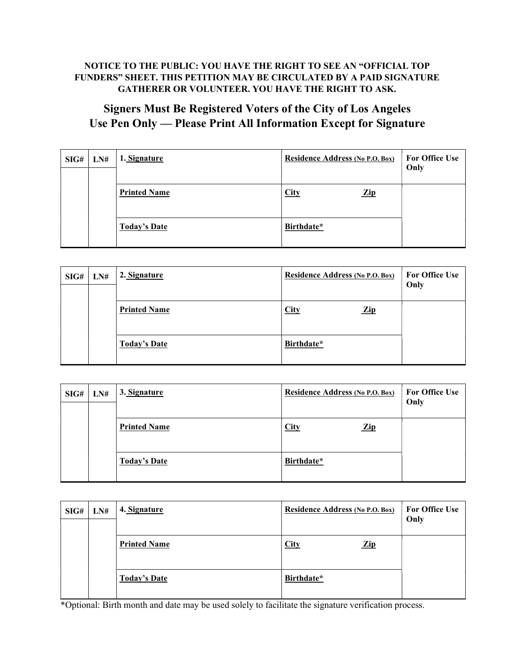#### NOTICE TO THE PUBLIC: YOU HAVE THE RIGHT TO SEE AN "OFFICIAL TOP FUNDERS" SHEET. THIS PETITION MAY BE CIRCULATED BY A PAID SIGNATURE GATHERER OR VOLUNTEER. YOU HAVE THE RIGHT TO ASK.

## Signers Must Be Registered Voters of the City of Los Angeles Use Pen Only — Please Print All Information Except for Signature

| SIG# | LN# | 1. Signature        | <b>Residence Address (No P.O. Box)</b> | <b>For Office Use</b><br>Only |
|------|-----|---------------------|----------------------------------------|-------------------------------|
|      |     | <b>Printed Name</b> | City<br>$\mathbf{Zip}$                 |                               |
|      |     | <b>Today's Date</b> | Birthdate*                             |                               |

| SIG# | LN# | 2. Signature        | <b>Residence Address (No P.O. Box)</b> | <b>For Office Use</b><br>Only |
|------|-----|---------------------|----------------------------------------|-------------------------------|
|      |     | <b>Printed Name</b> | <b>City</b><br>$\mathbf{Zip}$          |                               |
|      |     | <b>Today's Date</b> | Birthdate*                             |                               |

| SIG# | LN# | 3. Signature        | Residence Address (No P.O. Box) | <b>For Office Use</b><br>Only |
|------|-----|---------------------|---------------------------------|-------------------------------|
|      |     | <b>Printed Name</b> | <b>City</b><br>$\mathbf{Zip}$   |                               |
|      |     | <b>Today's Date</b> | Birthdate*                      |                               |

| SIG# | LN# | 4. Signature        | <b>Residence Address (No P.O. Box)</b> | <b>For Office Use</b><br>Only |
|------|-----|---------------------|----------------------------------------|-------------------------------|
|      |     | <b>Printed Name</b> | <b>City</b><br>$\mathbf{Zip}$          |                               |
|      |     | <b>Today's Date</b> | Birthdate*                             |                               |

\*Optional: Birth month and date may be used solely to facilitate the signature verification process.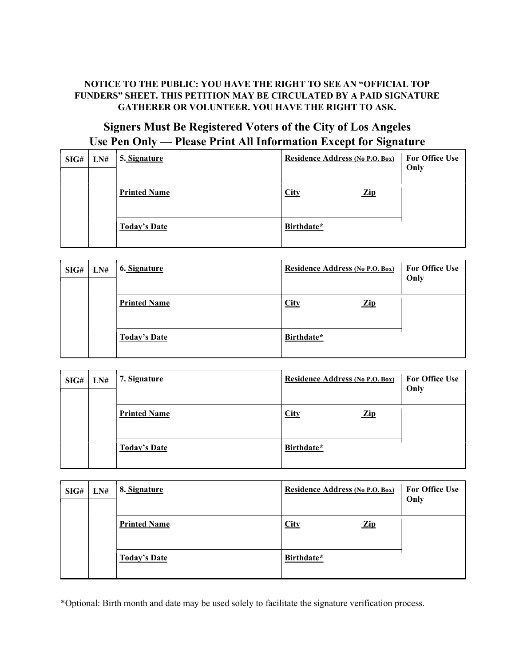#### NOTICE TO THE PUBLIC: YOU HAVE THE RIGHT TO SEE AN "OFFICIAL TOP FUNDERS" SHEET. THIS PETITION MAY BE CIRCULATED BY A PAID SIGNATURE GATHERER OR VOLUNTEER. YOU HAVE THE RIGHT TO ASK.

## Signers Must Be Registered Voters of the City of Los Angeles Use Pen Only — Please Print All Information Except for Signature

| SIG# | LN# | 5. Signature        | <b>Residence Address (No P.O. Box)</b> | <b>For Office Use</b><br>Only |
|------|-----|---------------------|----------------------------------------|-------------------------------|
|      |     | <b>Printed Name</b> | City<br>$\mathbf{Zip}$                 |                               |
|      |     | <b>Today's Date</b> | Birthdate*                             |                               |

| SIG# | LN# | 6. Signature        | <b>Residence Address (No P.O. Box)</b> | <b>For Office Use</b><br>Only |
|------|-----|---------------------|----------------------------------------|-------------------------------|
|      |     | <b>Printed Name</b> | <b>City</b><br>$\mathbf{Zip}$          |                               |
|      |     | <b>Today's Date</b> | Birthdate*                             |                               |

| SIG# | LN# | 7. Signature        | Residence Address (No P.O. Box) | <b>For Office Use</b><br>Only |
|------|-----|---------------------|---------------------------------|-------------------------------|
|      |     | <b>Printed Name</b> | <b>City</b><br>$\mathbf{Zip}$   |                               |
|      |     | <b>Today's Date</b> | Birthdate*                      |                               |

| SIG# | LN# | 8. Signature        | <b>Residence Address (No P.O. Box)</b> | <b>For Office Use</b><br>Only |
|------|-----|---------------------|----------------------------------------|-------------------------------|
|      |     | <b>Printed Name</b> | City<br>$\mathbf{Zip}$                 |                               |
|      |     | <b>Today's Date</b> | Birthdate*                             |                               |

\*Optional: Birth month and date may be used solely to facilitate the signature verification process.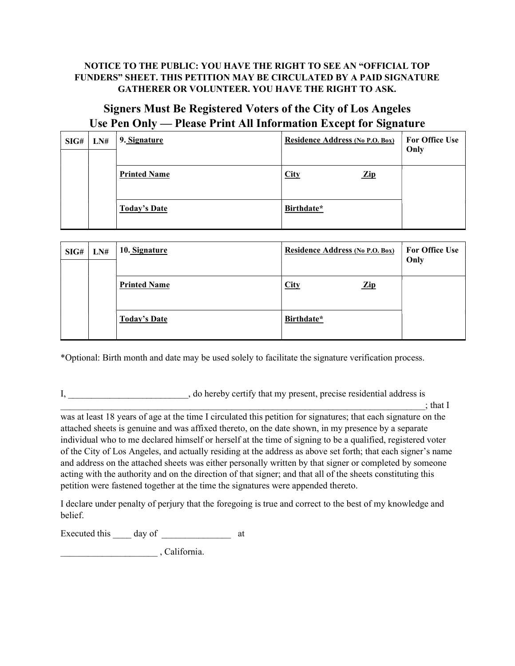#### NOTICE TO THE PUBLIC: YOU HAVE THE RIGHT TO SEE AN "OFFICIAL TOP FUNDERS" SHEET. THIS PETITION MAY BE CIRCULATED BY A PAID SIGNATURE GATHERER OR VOLUNTEER. YOU HAVE THE RIGHT TO ASK.

### Signers Must Be Registered Voters of the City of Los Angeles Use Pen Only — Please Print All Information Except for Signature

| SIG# | LN# | 9. Signature        | Residence Address (No P.O. Box) | <b>For Office Use</b><br>Only |
|------|-----|---------------------|---------------------------------|-------------------------------|
|      |     | <b>Printed Name</b> | <b>City</b><br>$\mathbf{Zip}$   |                               |
|      |     | <b>Today's Date</b> | Birthdate*                      |                               |

| SIG# | LN# | 10. Signature       | <b>Residence Address (No P.O. Box)</b> | <b>For Office Use</b><br>Only |
|------|-----|---------------------|----------------------------------------|-------------------------------|
|      |     | <b>Printed Name</b> | <b>City</b><br>$\mathbf{Zip}$          |                               |
|      |     | <b>Today's Date</b> | Birthdate*                             |                               |

\*Optional: Birth month and date may be used solely to facilitate the signature verification process.

I, and the loss is the best density that my present, precise residential address is

 $\chi$ ; that I was at least 18 years of age at the time I circulated this petition for signatures; that each signature on the attached sheets is genuine and was affixed thereto, on the date shown, in my presence by a separate individual who to me declared himself or herself at the time of signing to be a qualified, registered voter of the City of Los Angeles, and actually residing at the address as above set forth; that each signer's name and address on the attached sheets was either personally written by that signer or completed by someone acting with the authority and on the direction of that signer; and that all of the sheets constituting this petition were fastened together at the time the signatures were appended thereto.

I declare under penalty of perjury that the foregoing is true and correct to the best of my knowledge and belief.

Executed this day of at

\_\_\_\_\_\_\_\_\_\_\_\_\_\_\_\_\_\_\_\_\_ , California.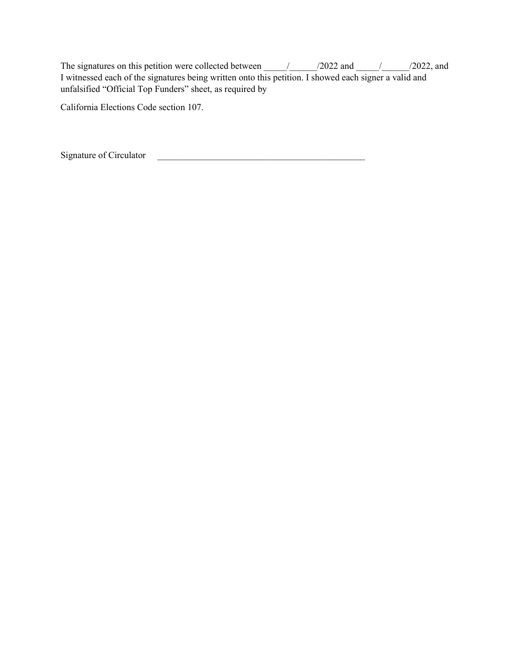The signatures on this petition were collected between  $\frac{1}{2022}$  and  $\frac{1}{2022}$ , and I witnessed each of the signatures being written onto this petition. I showed each signer a valid and unfalsified "Official Top Funders" sheet, as required by

California Elections Code section 107.

Signature of Circulator \_\_\_\_\_\_\_\_\_\_\_\_\_\_\_\_\_\_\_\_\_\_\_\_\_\_\_\_\_\_\_\_\_\_\_\_\_\_\_\_\_\_\_\_\_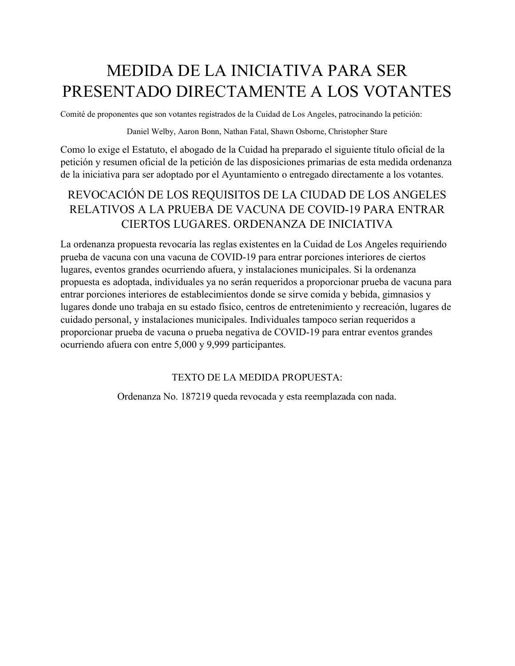## MEDIDA DE LA INICIATIVA PARA SER PRESENTADO DIRECTAMENTE A LOS VOTANTES

Comité de proponentes que son votantes registrados de la Cuidad de Los Angeles, patrocinando la petición:

Daniel Welby, Aaron Bonn, Nathan Fatal, Shawn Osborne, Christopher Stare

Como lo exige el Estatuto, el abogado de la Cuidad ha preparado el siguiente título oficial de la petición y resumen oficial de la petición de las disposiciones primarias de esta medida ordenanza de la iniciativa para ser adoptado por el Ayuntamiento o entregado directamente a los votantes.

### REVOCACIÓN DE LOS REQUISITOS DE LA CIUDAD DE LOS ANGELES RELATIVOS A LA PRUEBA DE VACUNA DE COVID-19 PARA ENTRAR CIERTOS LUGARES. ORDENANZA DE INICIATIVA

La ordenanza propuesta revocaría las reglas existentes en la Cuidad de Los Angeles requiriendo prueba de vacuna con una vacuna de COVID-19 para entrar porciones interiores de ciertos lugares, eventos grandes ocurriendo afuera, y instalaciones municipales. Si la ordenanza propuesta es adoptada, individuales ya no serán requeridos a proporcionar prueba de vacuna para entrar porciones interiores de establecimientos donde se sirve comida y bebida, gimnasios y lugares donde uno trabaja en su estado físico, centros de entretenimiento y recreación, lugares de cuidado personal, y instalaciones municipales. Individuales tampoco serian requeridos a proporcionar prueba de vacuna o prueba negativa de COVID-19 para entrar eventos grandes ocurriendo afuera con entre 5,000 y 9,999 participantes.

#### TEXTO DE LA MEDIDA PROPUESTA:

Ordenanza No. 187219 queda revocada y esta reemplazada con nada.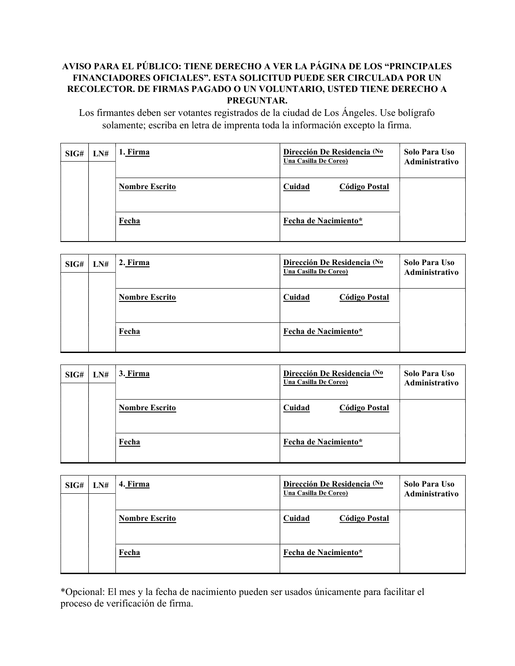### AVISO PARA EL PÚBLICO: TIENE DERECHO A VER LA PÁGINA DE LOS "PRINCIPALES FINANCIADORES OFICIALES". ESTA SOLICITUD PUEDE SER CIRCULADA POR UN RECOLECTOR. DE FIRMAS PAGADO O UN VOLUNTARIO, USTED TIENE DERECHO A PREGUNTAR.

Los firmantes deben ser votantes registrados de la ciudad de Los Ángeles. Use bolígrafo solamente; escriba en letra de imprenta toda la información excepto la firma.

| SIG# | LN# | 1. Firma              | Dirección De Residencia (No<br>Una Casilla De Coreo) | Solo Para Uso<br>Administrativo |
|------|-----|-----------------------|------------------------------------------------------|---------------------------------|
|      |     | <b>Nombre Escrito</b> | Cuidad<br><b>Código Postal</b>                       |                                 |
|      |     | Fecha                 | Fecha de Nacimiento*                                 |                                 |

| SIG# | LN# | 2. Firma              | Dirección De Residencia (No<br>Una Casilla De Coreo) | Solo Para Uso<br>Administrativo |
|------|-----|-----------------------|------------------------------------------------------|---------------------------------|
|      |     | <b>Nombre Escrito</b> | Cuidad<br><b>Código Postal</b>                       |                                 |
|      |     | Fecha                 | Fecha de Nacimiento*                                 |                                 |

| SIG# | LN# | 3. Firma              | Dirección De Residencia (No<br>Una Casilla De Coreo) | Solo Para Uso<br>Administrativo |
|------|-----|-----------------------|------------------------------------------------------|---------------------------------|
|      |     | <b>Nombre Escrito</b> | Cuidad<br><b>Código Postal</b>                       |                                 |
|      |     | Fecha                 | Fecha de Nacimiento*                                 |                                 |

| SIG# | LN# | 4. Firma              | Dirección De Residencia (No<br>Una Casilla De Coreo) | Solo Para Uso<br>Administrativo |
|------|-----|-----------------------|------------------------------------------------------|---------------------------------|
|      |     | <b>Nombre Escrito</b> | Cuidad<br><b>Código Postal</b>                       |                                 |
|      |     | Fecha                 | Fecha de Nacimiento*                                 |                                 |

\*Opcional: El mes y la fecha de nacimiento pueden ser usados únicamente para facilitar el proceso de verificación de firma.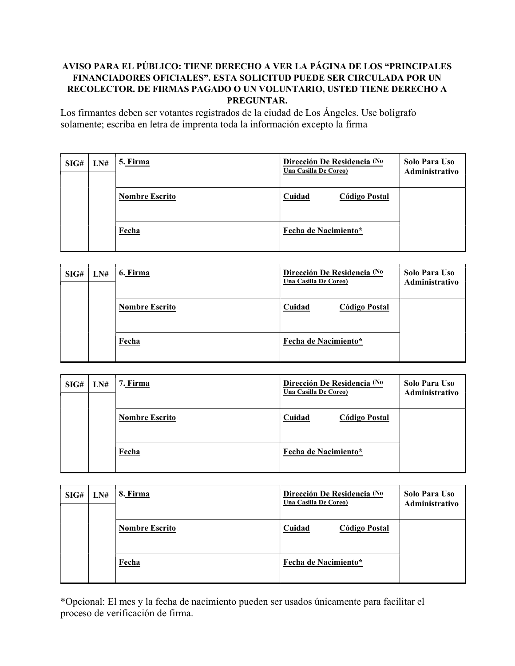### AVISO PARA EL PÚBLICO: TIENE DERECHO A VER LA PÁGINA DE LOS "PRINCIPALES FINANCIADORES OFICIALES". ESTA SOLICITUD PUEDE SER CIRCULADA POR UN RECOLECTOR. DE FIRMAS PAGADO O UN VOLUNTARIO, USTED TIENE DERECHO A PREGUNTAR.

Los firmantes deben ser votantes registrados de la ciudad de Los Ángeles. Use bolígrafo solamente; escriba en letra de imprenta toda la información excepto la firma

| SIG# | LN# | <u>5. Firma</u>       | Dirección De Residencia (No<br>Una Casilla De Coreo) | Solo Para Uso<br>Administrativo |
|------|-----|-----------------------|------------------------------------------------------|---------------------------------|
|      |     | <b>Nombre Escrito</b> | Cuidad<br>Código Postal                              |                                 |
|      |     | Fecha                 | Fecha de Nacimiento*                                 |                                 |

| SIG# | LN# | 6. Firma              | Dirección De Residencia (No<br>Una Casilla De Coreo) | Solo Para Uso<br>Administrativo |
|------|-----|-----------------------|------------------------------------------------------|---------------------------------|
|      |     | <b>Nombre Escrito</b> | Cuidad<br><b>Código Postal</b>                       |                                 |
|      |     | Fecha                 | Fecha de Nacimiento*                                 |                                 |

| SIG# | LN# | 7. Firma              | Dirección De Residencia (No<br>Una Casilla De Coreo) | Solo Para Uso<br>Administrativo |
|------|-----|-----------------------|------------------------------------------------------|---------------------------------|
|      |     | <b>Nombre Escrito</b> | Cuidad<br><b>Código Postal</b>                       |                                 |
|      |     | Fecha                 | Fecha de Nacimiento*                                 |                                 |

| SIG# | LN# | 8. Firma              | Dirección De Residencia (No<br>Una Casilla De Coreo) | Solo Para Uso<br><b>Administrativo</b> |
|------|-----|-----------------------|------------------------------------------------------|----------------------------------------|
|      |     | <b>Nombre Escrito</b> | Cuidad<br><b>Código Postal</b>                       |                                        |
|      |     | Fecha                 | Fecha de Nacimiento*                                 |                                        |

\*Opcional: El mes y la fecha de nacimiento pueden ser usados únicamente para facilitar el proceso de verificación de firma.